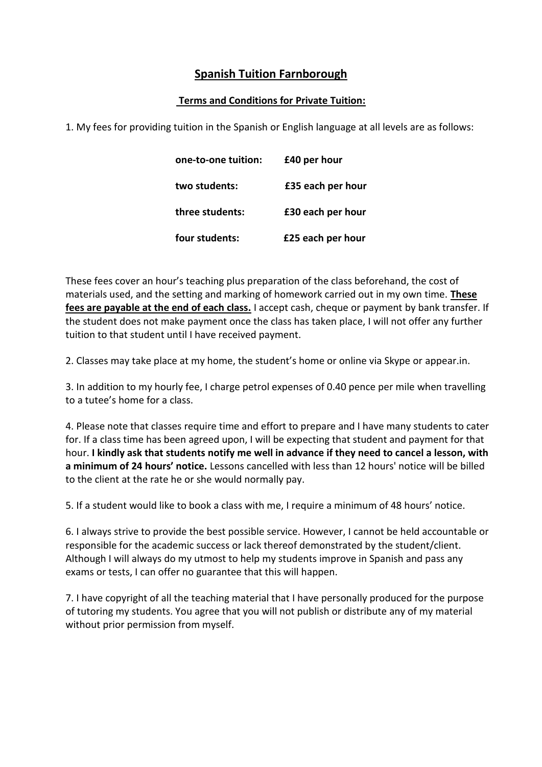## **Spanish Tuition Farnborough**

## **Terms and Conditions for Private Tuition:**

1. My fees for providing tuition in the Spanish or English language at all levels are as follows:

| one-to-one tuition: | £40 per hour      |
|---------------------|-------------------|
| two students:       | £35 each per hour |
| three students:     | £30 each per hour |
| four students:      | £25 each per hour |

These fees cover an hour's teaching plus preparation of the class beforehand, the cost of materials used, and the setting and marking of homework carried out in my own time. **These fees are payable at the end of each class.** I accept cash, cheque or payment by bank transfer. If the student does not make payment once the class has taken place, I will not offer any further tuition to that student until I have received payment.

2. Classes may take place at my home, the student's home or online via Skype or appear.in.

3. In addition to my hourly fee, I charge petrol expenses of 0.40 pence per mile when travelling to a tutee's home for a class.

4. Please note that classes require time and effort to prepare and I have many students to cater for. If a class time has been agreed upon, I will be expecting that student and payment for that hour. **I kindly ask that students notify me well in advance if they need to cancel a lesson, with a minimum of 24 hours' notice.** Lessons cancelled with less than 12 hours' notice will be billed to the client at the rate he or she would normally pay.

5. If a student would like to book a class with me, I require a minimum of 48 hours' notice.

6. I always strive to provide the best possible service. However, I cannot be held accountable or responsible for the academic success or lack thereof demonstrated by the student/client. Although I will always do my utmost to help my students improve in Spanish and pass any exams or tests, I can offer no guarantee that this will happen.

7. I have copyright of all the teaching material that I have personally produced for the purpose of tutoring my students. You agree that you will not publish or distribute any of my material without prior permission from myself.